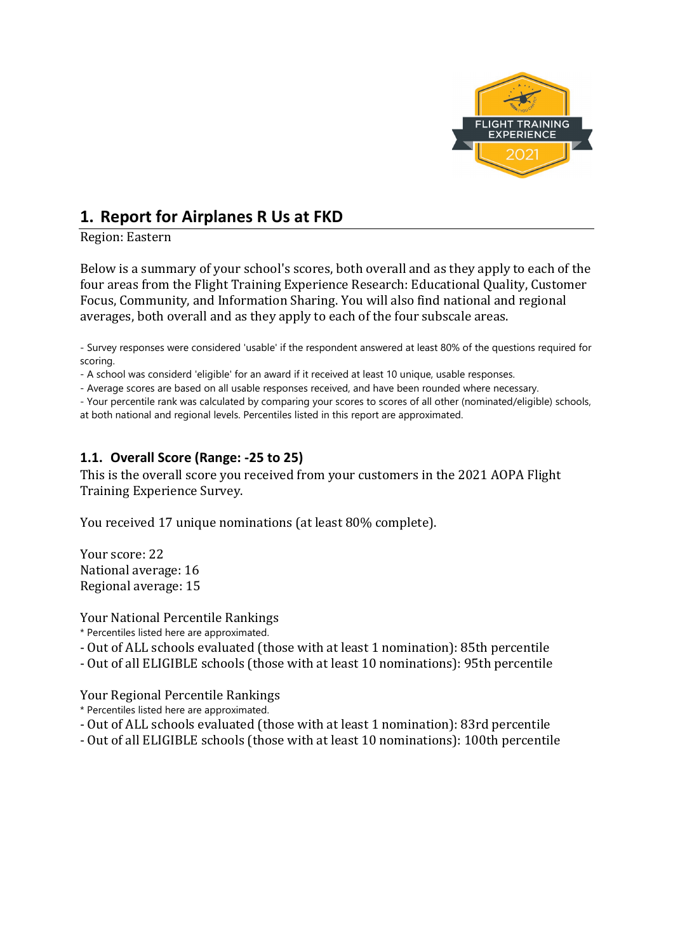

# **1. Report for Airplanes R Us at FKD**

Region: Eastern

Below is a summary of your school's scores, both overall and as they apply to each of the four areas from the Flight Training Experience Research: Educational Quality, Customer Focus, Community, and Information Sharing. You will also find national and regional averages, both overall and as they apply to each of the four subscale areas.

- Survey responses were considered 'usable' if the respondent answered at least 80% of the questions required for scoring.

- A school was considerd 'eligible' for an award if it received at least 10 unique, usable responses.

- Average scores are based on all usable responses received, and have been rounded where necessary.

- Your percentile rank was calculated by comparing your scores to scores of all other (nominated/eligible) schools,

at both national and regional levels. Percentiles listed in this report are approximated.

## **1.1. Overall Score (Range: -25 to 25)**

This is the overall score you received from your customers in the 2021 AOPA Flight Training Experience Survey.

You received 17 unique nominations (at least 80% complete).

Your score: 22 National average: 16 Regional average: 15

Your National Percentile Rankings

\* Percentiles listed here are approximated.

- Out of ALL schools evaluated (those with at least 1 nomination): 85th percentile
- Out of all ELIGIBLE schools (those with at least 10 nominations): 95th percentile

Your Regional Percentile Rankings

- \* Percentiles listed here are approximated.
- Out of ALL schools evaluated (those with at least 1 nomination): 83rd percentile
- Out of all ELIGIBLE schools (those with at least 10 nominations): 100th percentile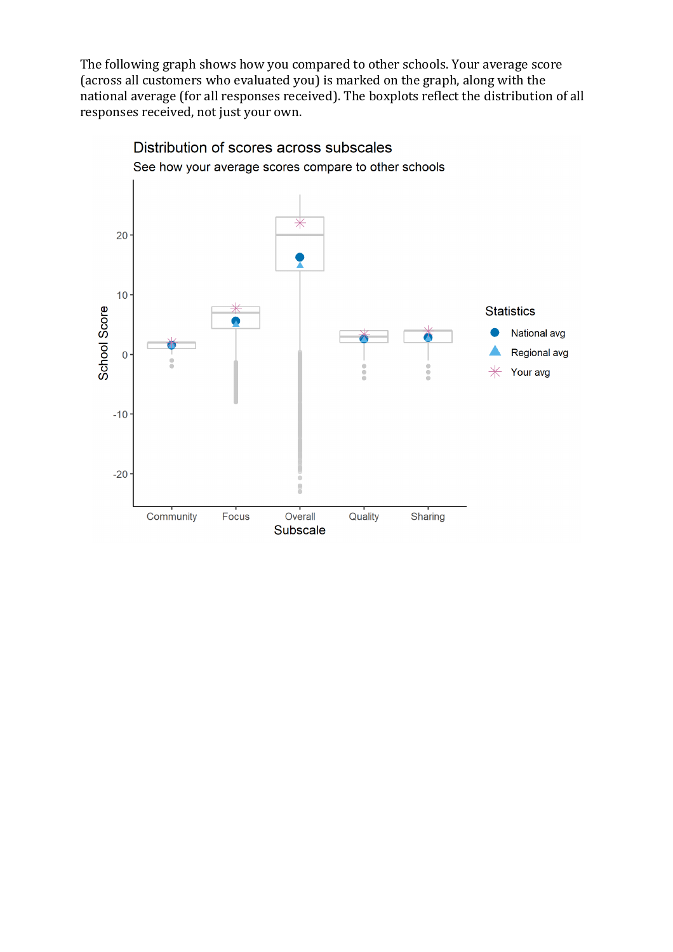The following graph shows how you compared to other schools. Your average score (across all customers who evaluated you) is marked on the graph, along with the national average (for all responses received). The boxplots reflect the distribution of all responses received, not just your own.



Distribution of scores across subscales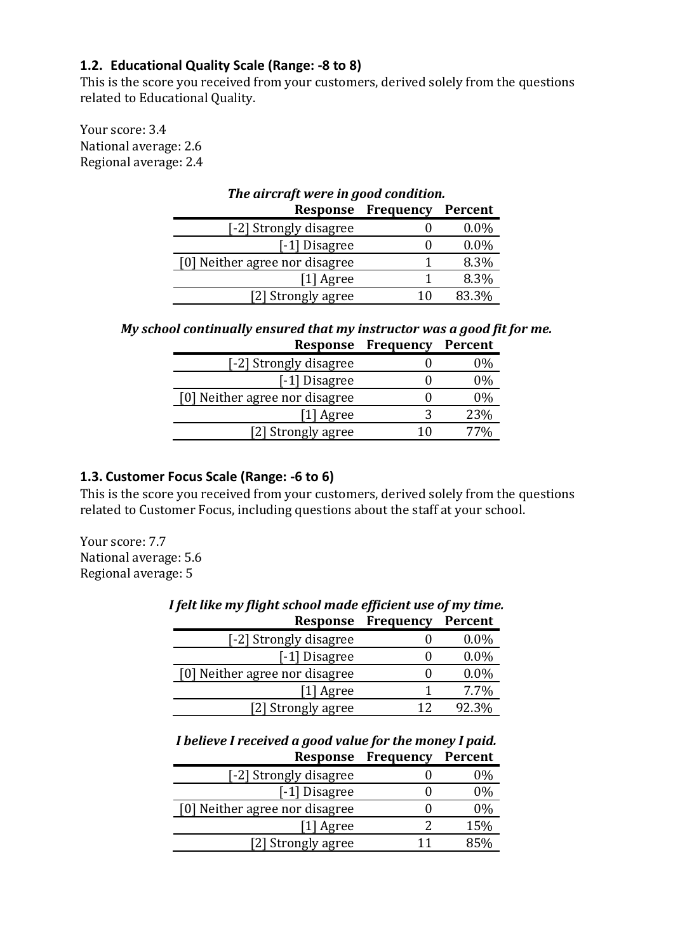## **1.2. Educational Quality Scale (Range: -8 to 8)**

This is the score you received from your customers, derived solely from the questions related to Educational Quality.

Your score: 3.4 National average: 2.6 Regional average: 2.4

| The aircraft were in good condition. |           |         |
|--------------------------------------|-----------|---------|
| Response                             | Frequency | Percent |
| [-2] Strongly disagree               |           | $0.0\%$ |
| [-1] Disagree                        |           | $0.0\%$ |
| [0] Neither agree nor disagree       |           | 8.3%    |
| [1] Agree                            |           | 8.3%    |
| [2] Strongly agree                   | 1 በ       | 83.3%   |

*My school continually ensured that my instructor was a good fit for me.* **Response Frequency Percent**

|                                | Response riequency | refleilt |
|--------------------------------|--------------------|----------|
| [-2] Strongly disagree         |                    | 0%       |
| [-1] Disagree                  |                    | 0%       |
| [0] Neither agree nor disagree |                    | 0%       |
| [1] Agree                      | 3                  | 23%      |
| [2] Strongly agree             | 10                 | 77%      |
|                                |                    |          |

### **1.3. Customer Focus Scale (Range: -6 to 6)**

This is the score you received from your customers, derived solely from the questions related to Customer Focus, including questions about the staff at your school.

Your score: 7.7 National average: 5.6 Regional average: 5

| Response                       | Frequency | <b>Percent</b> |
|--------------------------------|-----------|----------------|
| [-2] Strongly disagree         |           | $0.0\%$        |
| [-1] Disagree                  |           | $0.0\%$        |
| [0] Neither agree nor disagree |           | $0.0\%$        |
| [1] Agree                      |           | 7.7%           |
| [2] Strongly agree             | 12        | 92.3%          |

# *I felt like my flight school made efficient use of my time.*

*I believe I received a good value for the money I paid.* **Response Frequency Percent**

| [-2] Strongly disagree         | 0%    |
|--------------------------------|-------|
| [-1] Disagree                  | $0\%$ |
| [0] Neither agree nor disagree | $0\%$ |
| [1] Agree                      | 15%   |
| [2] Strongly agree             | 85%   |
|                                |       |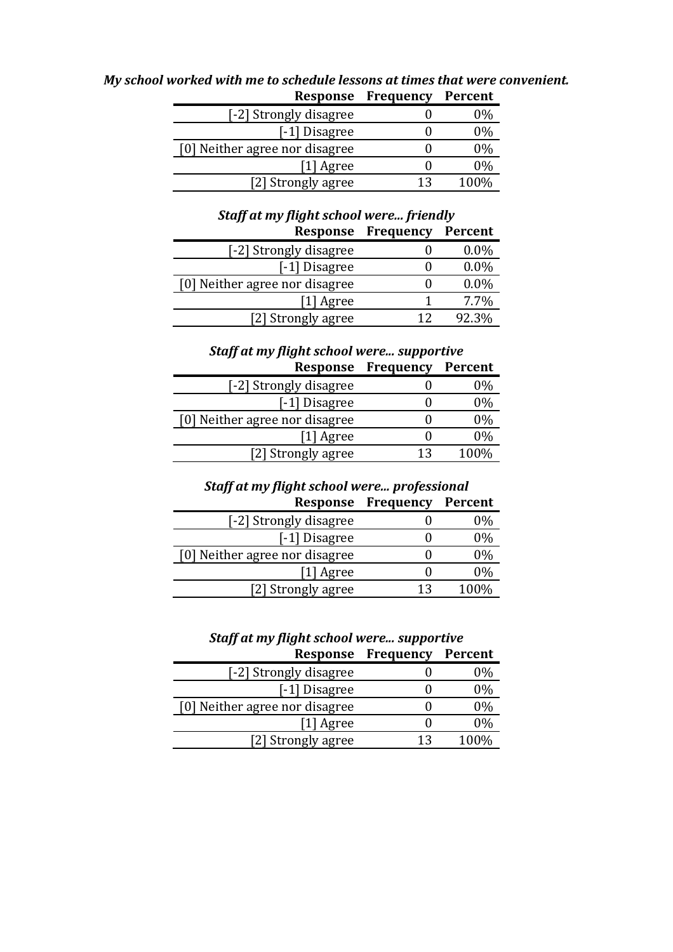| Response ricquency | I EL CENT |
|--------------------|-----------|
|                    | 0%        |
|                    | 0%        |
|                    | 0%        |
|                    | 0%        |
| 12                 | 100%      |
|                    |           |

*My school worked with me to schedule lessons at times that were convenient.* **Response Frequency Percent**

| Staff at my flight school were friendly |                   |         |
|-----------------------------------------|-------------------|---------|
| <b>Response</b>                         | Frequency         | Percent |
| [-2] Strongly disagree                  |                   | $0.0\%$ |
| [-1] Disagree                           | $\mathbf{\Omega}$ | $0.0\%$ |
| [0] Neither agree nor disagree          | 0                 | 0.0%    |
| [1] Agree                               | 1                 | 7.7%    |
| [2] Strongly agree                      | 12                | 92.3%   |
|                                         |                   |         |

## *Staff at my flight school were... supportive*

|    | <b>Percent</b> |
|----|----------------|
|    | 0%             |
|    | $0\%$          |
|    | $0\%$          |
|    | $0\%$          |
| 13 | 100%           |
|    | Frequency      |

## *Staff at my flight school were... professional*

|                   | Percent   |
|-------------------|-----------|
|                   | 0%        |
| 0                 | $0\%$     |
| 0                 | 0%        |
| $\mathbf{\Omega}$ | 0%        |
| 13                | 100%      |
|                   | Frequency |

## *Staff at my flight school were... supportive*

| Response                       | Frequency | Percent |
|--------------------------------|-----------|---------|
| [-2] Strongly disagree         |           | 0%      |
| [-1] Disagree                  |           | $0\%$   |
| [0] Neither agree nor disagree |           | $0\%$   |
| [1] Agree                      |           | 0%      |
| [2] Strongly agree             | 13        | 100%    |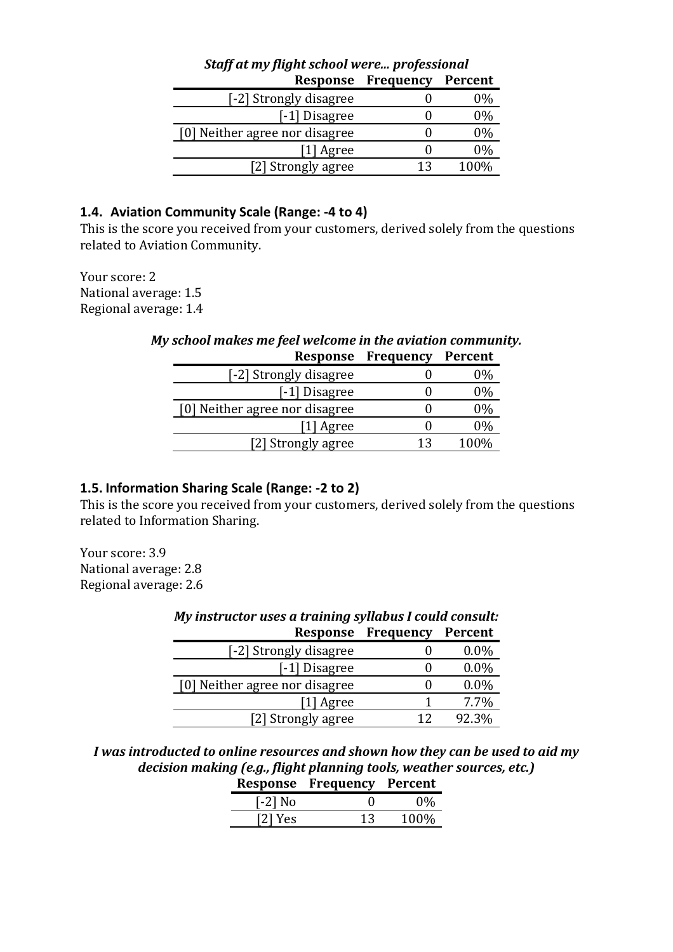| <b>Staff at my flight school were professional</b> |           |         |
|----------------------------------------------------|-----------|---------|
| <b>Response</b>                                    | Frequency | Percent |
| [-2] Strongly disagree                             |           | $0\%$   |
| [-1] Disagree                                      |           | $0\%$   |
| [0] Neither agree nor disagree                     |           | 0%      |
| [1] Agree                                          | 0         | 0%      |
| [2] Strongly agree                                 | 13        | 100%    |
|                                                    |           |         |

# *Staff at my flight school were... professional*

### **1.4. Aviation Community Scale (Range: -4 to 4)**

This is the score you received from your customers, derived solely from the questions related to Aviation Community.

Your score: 2 National average: 1.5 Regional average: 1.4

## *My school makes me feel welcome in the aviation community.* **Response Frequency Percent**

|                                | ncoponoe rrequency | .     |
|--------------------------------|--------------------|-------|
| [-2] Strongly disagree         |                    | 0%    |
| [-1] Disagree                  |                    | 0%    |
| [0] Neither agree nor disagree |                    | $0\%$ |
| [1] Agree                      |                    | 0%    |
| [2] Strongly agree             | 13                 | 100%  |
|                                |                    |       |

## **1.5. Information Sharing Scale (Range: -2 to 2)**

This is the score you received from your customers, derived solely from the questions related to Information Sharing.

Your score: 3.9 National average: 2.8 Regional average: 2.6

| My instructor uses a training syllabus I could consult: |           |         |
|---------------------------------------------------------|-----------|---------|
| Response                                                | Frequency | Percent |
| [-2] Strongly disagree                                  |           | $0.0\%$ |
| [-1] Disagree                                           |           | $0.0\%$ |
| [0] Neither agree nor disagree                          | 0         | 0.0%    |
| [1] Agree                                               |           | 7.7%    |
| [2] Strongly agree                                      |           | 92.3%   |

*I was introducted to online resources and shown how they can be used to aid my decision making (e.g., flight planning tools, weather sources, etc.)* **Response Frequency Percent**

|           | Response riequency | <u>rercent</u> |
|-----------|--------------------|----------------|
| $[-2]$ No |                    | $0\%$          |
| [2] Yes   | 13                 | 100%           |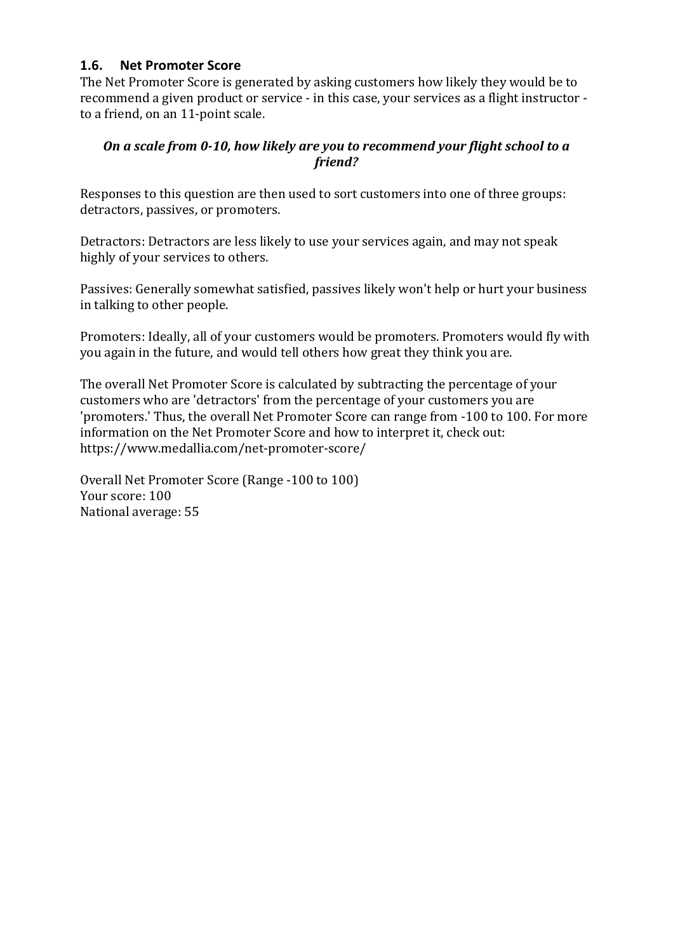## **1.6. Net Promoter Score**

The Net Promoter Score is generated by asking customers how likely they would be to recommend a given product or service - in this case, your services as a flight instructor to a friend, on an 11-point scale.

## *On a scale from 0-10, how likely are you to recommend your flight school to a friend?*

Responses to this question are then used to sort customers into one of three groups: detractors, passives, or promoters.

Detractors: Detractors are less likely to use your services again, and may not speak highly of your services to others.

Passives: Generally somewhat satisfied, passives likely won't help or hurt your business in talking to other people.

Promoters: Ideally, all of your customers would be promoters. Promoters would fly with you again in the future, and would tell others how great they think you are.

The overall Net Promoter Score is calculated by subtracting the percentage of your customers who are 'detractors' from the percentage of your customers you are 'promoters.' Thus, the overall Net Promoter Score can range from -100 to 100. For more information on the Net Promoter Score and how to interpret it, check out: https://www.medallia.com/net-promoter-score/

Overall Net Promoter Score (Range -100 to 100) Your score: 100 National average: 55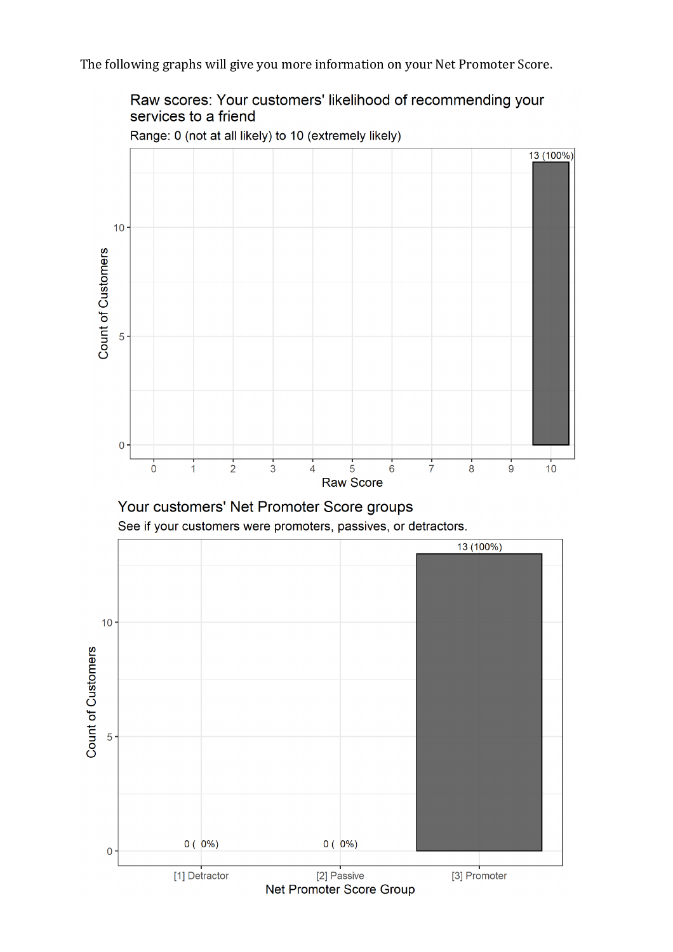The following graphs will give you more information on your Net Promoter Score.

Raw scores: Your customers' likelihood of recommending your services to a friend



Range: 0 (not at all likely) to 10 (extremely likely)



See if your customers were promoters, passives, or detractors.

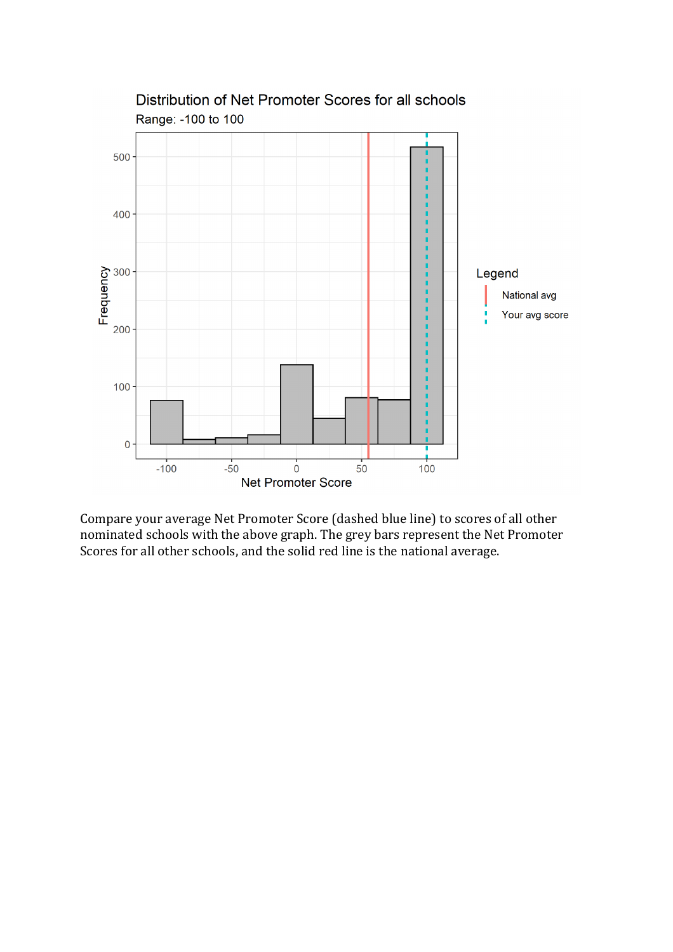

Distribution of Net Promoter Scores for all schools Range: -100 to 100

Compare your average Net Promoter Score (dashed blue line) to scores of all other nominated schools with the above graph. The grey bars represent the Net Promoter Scores for all other schools, and the solid red line is the national average.